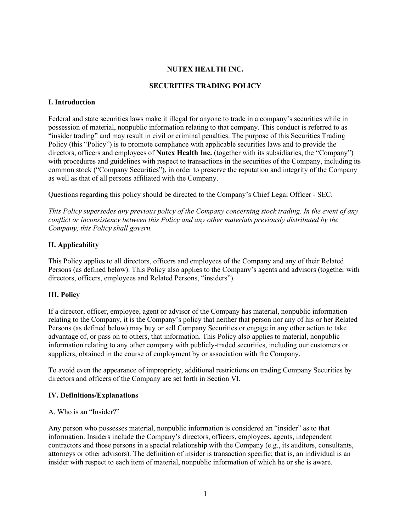## **NUTEX HEALTH INC.**

# **SECURITIES TRADING POLICY**

#### **I. Introduction**

Federal and state securities laws make it illegal for anyone to trade in a company's securities while in possession of material, nonpublic information relating to that company. This conduct is referred to as "insider trading" and may result in civil or criminal penalties. The purpose of this Securities Trading Policy (this "Policy") is to promote compliance with applicable securities laws and to provide the directors, officers and employees of **Nutex Health Inc.** (together with its subsidiaries, the "Company") with procedures and guidelines with respect to transactions in the securities of the Company, including its common stock ("Company Securities"), in order to preserve the reputation and integrity of the Company as well as that of all persons affiliated with the Company.

Questions regarding this policy should be directed to the Company's Chief Legal Officer - SEC.

*This Policy supersedes any previous policy of the Company concerning stock trading. In the event of any conflict or inconsistency between this Policy and any other materials previously distributed by the Company, this Policy shall govern.*

#### **II. Applicability**

This Policy applies to all directors, officers and employees of the Company and any of their Related Persons (as defined below). This Policy also applies to the Company's agents and advisors (together with directors, officers, employees and Related Persons, "insiders").

# **III. Policy**

If a director, officer, employee, agent or advisor of the Company has material, nonpublic information relating to the Company, it is the Company's policy that neither that person nor any of his or her Related Persons (as defined below) may buy or sell Company Securities or engage in any other action to take advantage of, or pass on to others, that information. This Policy also applies to material, nonpublic information relating to any other company with publicly-traded securities, including our customers or suppliers, obtained in the course of employment by or association with the Company.

To avoid even the appearance of impropriety, additional restrictions on trading Company Securities by directors and officers of the Company are set forth in Section VI.

#### **IV. Definitions/Explanations**

#### A. Who is an "Insider?"

Any person who possesses material, nonpublic information is considered an "insider" as to that information. Insiders include the Company's directors, officers, employees, agents, independent contractors and those persons in a special relationship with the Company (e.g., its auditors, consultants, attorneys or other advisors). The definition of insider is transaction specific; that is, an individual is an insider with respect to each item of material, nonpublic information of which he or she is aware.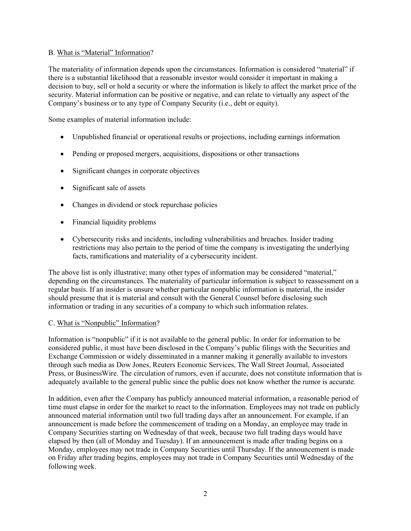# B. What is "Material" Information?

The materiality of information depends upon the circumstances. Information is considered "material" if there is a substantial likelihood that a reasonable investor would consider it important in making a decision to buy, sell or hold a security or where the information is likely to affect the market price of the security. Material information can be positive or negative, and can relate to virtually any aspect of the Company's business or to any type of Company Security (i.e., debt or equity).

Some examples of material information include:

- Unpublished financial or operational results or projections, including earnings information
- Pending or proposed mergers, acquisitions, dispositions or other transactions
- Significant changes in corporate objectives
- Significant sale of assets
- Changes in dividend or stock repurchase policies
- Financial liquidity problems
- Cybersecurity risks and incidents, including vulnerabilities and breaches. Insider trading restrictions may also pertain to the period of time the company is investigating the underlying facts, ramifications and materiality of a cybersecurity incident.

The above list is only illustrative; many other types of information may be considered "material," depending on the circumstances. The materiality of particular information is subject to reassessment on a regular basis. If an insider is unsure whether particular nonpublic information is material, the insider should presume that it is material and consult with the General Counsel before disclosing such information or trading in any securities of a company to which such information relates.

# C. What is "Nonpublic" Information?

Information is "nonpublic" if it is not available to the general public. In order for information to be considered public, it must have been disclosed in the Company's public filings with the Securities and Exchange Commission or widely disseminated in a manner making it generally available to investors through such media as Dow Jones, Reuters Economic Services, The Wall Street Journal, Associated Press, or BusinessWire. The circulation of rumors, even if accurate, does not constitute information that is adequately available to the general public since the public does not know whether the rumor is accurate.

In addition, even after the Company has publicly announced material information, a reasonable period of time must elapse in order for the market to react to the information. Employees may not trade on publicly announced material information until two full trading days after an announcement. For example, if an announcement is made before the commencement of trading on a Monday, an employee may trade in Company Securities starting on Wednesday of that week, because two full trading days would have elapsed by then (all of Monday and Tuesday). If an announcement is made after trading begins on a Monday, employees may not trade in Company Securities until Thursday. If the announcement is made on Friday after trading begins, employees may not trade in Company Securities until Wednesday of the following week.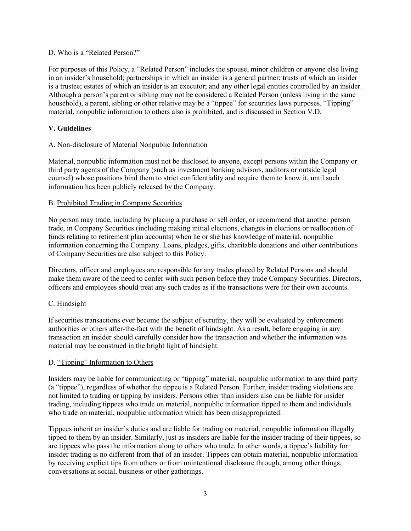# D. Who is a "Related Person?"

For purposes of this Policy, a "Related Person" includes the spouse, minor children or anyone else living in an insider's household; partnerships in which an insider is a general partner; trusts of which an insider is a trustee; estates of which an insider is an executor; and any other legal entities controlled by an insider. Although a person's parent or sibling may not be considered a Related Person (unless living in the same household), a parent, sibling or other relative may be a "tippee" for securities laws purposes. "Tipping" material, nonpublic information to others also is prohibited, and is discussed in Section V.D.

# **V. Guidelines**

# A. Non-disclosure of Material Nonpublic Information

Material, nonpublic information must not be disclosed to anyone, except persons within the Company or third party agents of the Company (such as investment banking advisors, auditors or outside legal counsel) whose positions bind them to strict confidentiality and require them to know it, until such information has been publicly released by the Company.

# B. Prohibited Trading in Company Securities

No person may trade, including by placing a purchase or sell order, or recommend that another person trade, in Company Securities (including making initial elections, changes in elections or reallocation of funds relating to retirement plan accounts) when he or she has knowledge of material, nonpublic information concerning the Company. Loans, pledges, gifts, charitable donations and other contributions of Company Securities are also subject to this Policy.

Directors, officer and employees are responsible for any trades placed by Related Persons and should make them aware of the need to confer with such person before they trade Company Securities. Directors, officers and employees should treat any such trades as if the transactions were for their own accounts.

# C. Hindsight

If securities transactions ever become the subject of scrutiny, they will be evaluated by enforcement authorities or others after-the-fact with the benefit of hindsight. As a result, before engaging in any transaction an insider should carefully consider how the transaction and whether the information was material may be construed in the bright light of hindsight.

# D. "Tipping" Information to Others

Insiders may be liable for communicating or "tipping" material, nonpublic information to any third party (a "tippee"), regardless of whether the tippee is a Related Person. Further, insider trading violations are not limited to trading or tipping by insiders. Persons other than insiders also can be liable for insider trading, including tippees who trade on material, nonpublic information tipped to them and individuals who trade on material, nonpublic information which has been misappropriated.

Tippees inherit an insider's duties and are liable for trading on material, nonpublic information illegally tipped to them by an insider. Similarly, just as insiders are liable for the insider trading of their tippees, so are tippees who pass the information along to others who trade. In other words, a tippee's liability for insider trading is no different from that of an insider. Tippees can obtain material, nonpublic information by receiving explicit tips from others or from unintentional disclosure through, among other things, conversations at social, business or other gatherings.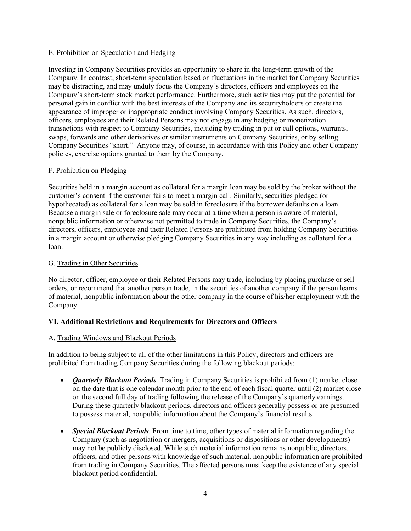#### E. Prohibition on Speculation and Hedging

Investing in Company Securities provides an opportunity to share in the long-term growth of the Company. In contrast, short-term speculation based on fluctuations in the market for Company Securities may be distracting, and may unduly focus the Company's directors, officers and employees on the Company's short-term stock market performance. Furthermore, such activities may put the potential for personal gain in conflict with the best interests of the Company and its securityholders or create the appearance of improper or inappropriate conduct involving Company Securities. As such, directors, officers, employees and their Related Persons may not engage in any hedging or monetization transactions with respect to Company Securities, including by trading in put or call options, warrants, swaps, forwards and other derivatives or similar instruments on Company Securities, or by selling Company Securities "short." Anyone may, of course, in accordance with this Policy and other Company policies, exercise options granted to them by the Company.

#### F. Prohibition on Pledging

Securities held in a margin account as collateral for a margin loan may be sold by the broker without the customer's consent if the customer fails to meet a margin call. Similarly, securities pledged (or hypothecated) as collateral for a loan may be sold in foreclosure if the borrower defaults on a loan. Because a margin sale or foreclosure sale may occur at a time when a person is aware of material, nonpublic information or otherwise not permitted to trade in Company Securities, the Company's directors, officers, employees and their Related Persons are prohibited from holding Company Securities in a margin account or otherwise pledging Company Securities in any way including as collateral for a loan.

#### G. Trading in Other Securities

No director, officer, employee or their Related Persons may trade, including by placing purchase or sell orders, or recommend that another person trade, in the securities of another company if the person learns of material, nonpublic information about the other company in the course of his/her employment with the Company.

# **VI. Additional Restrictions and Requirements for Directors and Officers**

# A. Trading Windows and Blackout Periods

In addition to being subject to all of the other limitations in this Policy, directors and officers are prohibited from trading Company Securities during the following blackout periods:

- *Quarterly Blackout Periods*. Trading in Company Securities is prohibited from (1) market close on the date that is one calendar month prior to the end of each fiscal quarter until (2) market close on the second full day of trading following the release of the Company's quarterly earnings. During these quarterly blackout periods, directors and officers generally possess or are presumed to possess material, nonpublic information about the Company's financial results.
- *Special Blackout Periods*. From time to time, other types of material information regarding the Company (such as negotiation or mergers, acquisitions or dispositions or other developments) may not be publicly disclosed. While such material information remains nonpublic, directors, officers, and other persons with knowledge of such material, nonpublic information are prohibited from trading in Company Securities. The affected persons must keep the existence of any special blackout period confidential.